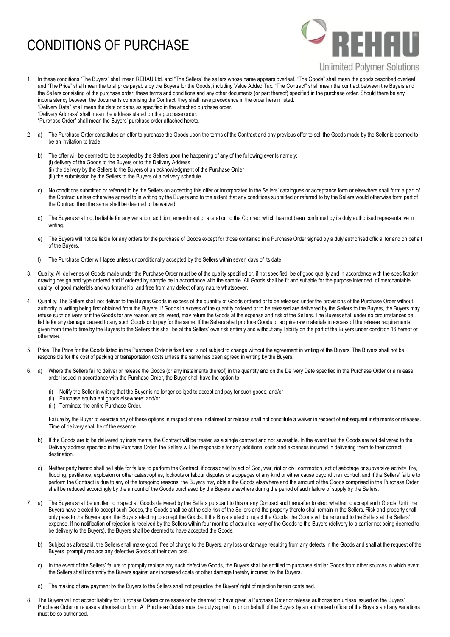## CONDITIONS OF PURCHASE



- 1. In these conditions "The Buyers" shall mean REHAU Ltd. and "The Sellers" the sellers whose name appears overleaf. "The Goods" shall mean the goods described overleaf and "The Price" shall mean the total price payable by the Buyers for the Goods, including Value Added Tax. "The Contract" shall mean the contract between the Buyers and the Sellers consisting of the purchase order, these terms and conditions and any other documents (or part thereof) specified in the purchase order. Should there be any inconsistency between the documents comprising the Contract, they shall have precedence in the order herein listed. "Delivery Date" shall mean the date or dates as specified in the attached purchase order. "Delivery Address" shall mean the address stated on the purchase order. "Purchase Order" shall mean the Buyers' purchase order attached hereto.
- 2 a) The Purchase Order constitutes an offer to purchase the Goods upon the terms of the Contract and any previous offer to sell the Goods made by the Seller is deemed to be an invitation to trade.
	- b) The offer will be deemed to be accepted by the Sellers upon the happening of any of the following events namely: (i) delivery of the Goods to the Buyers or to the Delivery Address (ii) the delivery by the Sellers to the Buyers of an acknowledgment of the Purchase Order (iii) the submission by the Sellers to the Buyers of a delivery schedule.
	- c) No conditions submitted or referred to by the Sellers on accepting this offer or incorporated in the Sellers' catalogues or acceptance form or elsewhere shall form a part of the Contract unless otherwise agreed to in writing by the Buyers and to the extent that any conditions submitted or referred to by the Sellers would otherwise form part of the Contract then the same shall be deemed to be waived.
	- d) The Buyers shall not be liable for any variation, addition, amendment or alteration to the Contract which has not been confirmed by its duly authorised representative in writing.
	- e) The Buyers will not be liable for any orders for the purchase of Goods except for those contained in a Purchase Order signed by a duly authorised official for and on behalf of the Buyers.
	- f) The Purchase Order will lapse unless unconditionally accepted by the Sellers within seven days of its date.
- 3. Quality: All deliveries of Goods made under the Purchase Order must be of the quality specified or, if not specified, be of good quality and in accordance with the specification, drawing design and type ordered and if ordered by sample be in accordance with the sample. All Goods shall be fit and suitable for the purpose intended, of merchantable quality, of good materials and workmanship, and free from any defect of any nature whatsoever.
- 4. Quantity: The Sellers shall not deliver to the Buyers Goods in excess of the quantity of Goods ordered or to be released under the provisions of the Purchase Order without authority in writing being first obtained from the Buyers. If Goods in excess of the quantity ordered or to be released are delivered by the Sellers to the Buyers, the Buyers may refuse such delivery or if the Goods for any reason are delivered, may return the Goods at the expense and risk of the Sellers. The Buyers shall under no circumstances be liable for any damage caused to any such Goods or to pay for the same. If the Sellers shall produce Goods or acquire raw materials in excess of the release requirements given from time to time by the Buyers to the Sellers this shall be at the Sellers' own risk entirely and without any liability on the part of the Buyers under condition 16 hereof or otherwise.
- 5. Price: The Price for the Goods listed in the Purchase Order is fixed and is not subject to change without the agreement in writing of the Buyers. The Buyers shall not be responsible for the cost of packing or transportation costs unless the same has been agreed in writing by the Buyers.
- 6. a) Where the Sellers fail to deliver or release the Goods (or any instalments thereof) in the quantity and on the Delivery Date specified in the Purchase Order or a release order issued in accordance with the Purchase Order, the Buyer shall have the option to:
	- Notify the Seller in writing that the Buyer is no longer obliged to accept and pay for such goods; and/or
	- Purchase equivalent goods elsewhere; and/or
	- (iii) Terminate the entire Purchase Order.

Failure by the Buyer to exercise any of these options in respect of one instalment or release shall not constitute a waiver in respect of subsequent instalments or releases. Time of delivery shall be of the essence.

- b) If the Goods are to be delivered by instalments, the Contract will be treated as a single contract and not severable. In the event that the Goods are not delivered to the Delivery address specified in the Purchase Order, the Sellers will be responsible for any additional costs and expenses incurred in delivering them to their correct destination.
- c) Neither party hereto shall be liable for failure to perform the Contract if occasioned by act of God, war, riot or civil commotion, act of sabotage or subversive activity, fire, flooding, pestilence, explosion or other catastrophes, lockouts or labour disputes or stoppages of any kind or either cause beyond their control, and if the Sellers' failure to perform the Contract is due to any of the foregoing reasons, the Buyers may obtain the Goods elsewhere and the amount of the Goods comprised in the Purchase Order shall be reduced accordingly by the amount of the Goods purchased by the Buyers elsewhere during the period of such failure of supply by the Sellers.
- 7. a) The Buyers shall be entitled to inspect all Goods delivered by the Sellers pursuant to this or any Contract and thereafter to elect whether to accept such Goods. Until the Buyers have elected to accept such Goods, the Goods shall be at the sole risk of the Sellers and the property thereto shall remain in the Sellers. Risk and property shall only pass to the Buyers upon the Buyers electing to accept the Goods. If the Buyers elect to reject the Goods, the Goods will be returned to the Sellers at the Sellers' expense. If no notification of rejection is received by the Sellers within four months of actual delivery of the Goods to the Buyers (delivery to a carrier not being deemed to be delivery to the Buyers), the Buyers shall be deemed to have accepted the Goods.
	- b) Subject as aforesaid, the Sellers shall make good, free of charge to the Buyers, any loss or damage resulting from any defects in the Goods and shall at the request of the Buyers promptly replace any defective Goods at their own cost.
	- c) In the event of the Sellers' failure to promptly replace any such defective Goods, the Buyers shall be entitled to purchase similar Goods from other sources in which event the Sellers shall indemnify the Buyers against any increased costs or other damage thereby incurred by the Buyers.
	- d) The making of any payment by the Buyers to the Sellers shall not prejudice the Buyers' right of rejection herein contained.
- 8. The Buyers will not accept liability for Purchase Orders or releases or be deemed to have given a Purchase Order or release authorisation unless issued on the Buyers' Purchase Order or release authorisation form. All Purchase Orders must be duly signed by or on behalf of the Buyers by an authorised officer of the Buyers and any variations must be so authorised.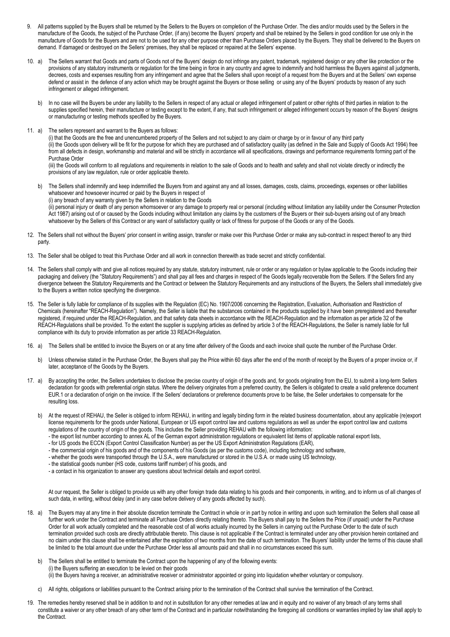- 9. All patterns supplied by the Buyers shall be returned by the Sellers to the Buyers on completion of the Purchase Order. The dies and/or moulds used by the Sellers in the manufacture of the Goods, the subject of the Purchase Order, (if any) become the Buyers' property and shall be retained by the Sellers in good condition for use only in the manufacture of Goods for the Buyers and are not to be used for any other purpose other than Purchase Orders placed by the Buyers. They shall be delivered to the Buyers on demand. If damaged or destroyed on the Sellers' premises, they shall be replaced or repaired at the Sellers' expense.
- 10. a) The Sellers warrant that Goods and parts of Goods not of the Buyers' design do not infringe any patent, trademark, registered design or any other like protection or the provisions of any statutory instruments or regulation for the time being in force in any country and agree to indemnify and hold harmless the Buyers against all judgments, decrees, costs and expenses resulting from any infringement and agree that the Sellers shall upon receipt of a request from the Buyers and at the Sellers' own expense defend or assist in the defence of any action which may be brought against the Buyers or those selling or using any of the Buyers' products by reason of any such infringement or alleged infringement.
	- b) In no case will the Buyers be under any liability to the Sellers in respect of any actual or alleged infringement of patent or other rights of third parties in relation to the supplies specified herein, their manufacture or testing except to the extent, if any, that such infringement or alleged infringement occurs by reason of the Buyers' designs or manufacturing or testing methods specified by the Buyers.
- 11. a) The sellers represent and warrant to the Buyers as follows:

(i) that the Goods are the free and unencumbered property of the Sellers and not subject to any claim or charge by or in favour of any third party (ii) the Goods upon delivery will be fit for the purpose for which they are purchased and of satisfactory quality (as defined in the Sale and Supply of Goods Act 1994) free from all defects in design, workmanship and material and will be strictly in accordance will all specifications, drawings and performance requirements forming part of the Purchase Order

(iii) the Goods will conform to all regulations and requirements in relation to the sale of Goods and to health and safety and shall not violate directly or indirectly the provisions of any law regulation, rule or order applicable thereto.

- b) The Sellers shall indemnify and keep indemnified the Buyers from and against any and all losses, damages, costs, claims, proceedings, expenses or other liabilities whatsoever and howsoever incurred or paid by the Buyers in respect of (i) any breach of any warranty given by the Sellers in relation to the Goods (ii) personal injury or death of any person whomsoever or any damage to property real or personal (including without limitation any liability under the Consumer Protection Act 1987) arising out of or caused by the Goods including without limitation any claims by the customers of the Buyers or their sub-buyers arising out of any breach whatsoever by the Sellers of this Contract or any want of satisfactory quality or lack of fitness for purpose of the Goods or any of the Goods.
- 12. The Sellers shall not without the Buyers' prior consent in writing assign, transfer or make over this Purchase Order or make any sub-contract in respect thereof to any third party.
- 13. The Seller shall be obliged to treat this Purchase Order and all work in connection therewith as trade secret and strictly confidential.
- 14. The Sellers shall comply with and give all notices required by any statute, statutory instrument, rule or order or any regulation or bylaw applicable to the Goods including their packaging and delivery (the "Statutory Requirements") and shall pay all fees and charges in respect of the Goods legally recoverable from the Sellers. If the Sellers find any divergence between the Statutory Requirements and the Contract or between the Statutory Requirements and any instructions of the Buyers, the Sellers shall immediately give to the Buyers a written notice specifying the divergence.
- 15. The Seller is fully liable for compliance of its supplies with the Regulation (EC) No. 1907/2006 concerning the Registration, Evaluation, Authorisation and Restriction of Chemicals (hereinafter "REACH-Regulation"). Namely, the Seller is liable that the substances contained in the products supplied by it have been preregistered and thereafter registered, if required under the REACH-Regulation, and that safety data sheets in accordance with the REACH-Regulation and the information as per article 32 of the REACH-Regulations shall be provided. To the extent the supplier is supplying articles as defined by article 3 of the REACH-Regulations, the Seller is namely liable for full compliance with its duty to provide information as per article 33 REACH-Regulation.
- 16. a) The Sellers shall be entitled to invoice the Buyers on or at any time after delivery of the Goods and each invoice shall quote the number of the Purchase Order.
	- b) Unless otherwise stated in the Purchase Order, the Buyers shall pay the Price within 60 days after the end of the month of receipt by the Buyers of a proper invoice or, if later, acceptance of the Goods by the Buyers.
- 17. a) By accepting the order, the Sellers undertakes to disclose the precise country of origin of the goods and, for goods originating from the EU, to submit a long-term Sellers declaration for goods with preferential origin status. Where the delivery originates from a preferred country, the Sellers is obligated to create a valid preference document EUR.1 or a declaration of origin on the invoice. If the Sellers' declarations or preference documents prove to be false, the Seller undertakes to compensate for the resulting loss.
	- b) At the request of REHAU, the Seller is obliged to inform REHAU, in writing and legally binding form in the related business documentation, about any applicable (re)export license requirements for the goods under National, European or US export control law and customs regulations as well as under the export control law and customs regulations of the country of origin of the goods. This includes the Seller providing REHAU with the following information:
		- the export list number according to annex AL of the German export administration regulations or equivalent list items of applicable national export lists,
		- for US goods the ECCN (Export Control Classification Number) as per the US Export Administration Regulations (EAR),
		- the commercial origin of his goods and of the components of his Goods (as per the customs code), including technology and software,
		- whether the goods were transported through the U.S.A., were manufactured or stored in the U.S.A. or made using US technology,
		- the statistical goods number (HS code, customs tariff number) of his goods, and
		- a contact in his organization to answer any questions about technical details and export control.

At our request, the Seller is obliged to provide us with any other foreign trade data relating to his goods and their components, in writing, and to inform us of all changes of such data, in writing, without delay (and in any case before delivery of any goods affected by such).

- 18. a) The Buyers may at any time in their absolute discretion terminate the Contract in whole or in part by notice in writing and upon such termination the Sellers shall cease all further work under the Contract and terminate all Purchase Orders directly relating thereto. The Buyers shall pay to the Sellers the Price (if unpaid) under the Purchase Order for all work actually completed and the reasonable cost of all works actually incurred by the Sellers in carrying out the Purchase Order to the date of such termination provided such costs are directly attributable thereto. This clause is not applicable if the Contract is terminated under any other provision herein contained and no claim under this clause shall be entertained after the expiration of two months from the date of such termination. The Buyers' liability under the terms of this clause shall be limited to the total amount due under the Purchase Order less all amounts paid and shall in no circumstances exceed this sum.
	- b) The Sellers shall be entitled to terminate the Contract upon the happening of any of the following events: (i) the Buyers suffering an execution to be levied on their goods (ii) the Buyers having a receiver, an administrative receiver or administrator appointed or going into liquidation whether voluntary or compulsory.
	- c) All rights, obligations or liabilities pursuant to the Contract arising prior to the termination of the Contract shall survive the termination of the Contract.
- 19. The remedies hereby reserved shall be in addition to and not in substitution for any other remedies at law and in equity and no waiver of any breach of any terms shall constitute a waiver or any other breach of any other term of the Contract and in particular notwithstanding the foregoing all conditions or warranties implied by law shall apply to the Contract.